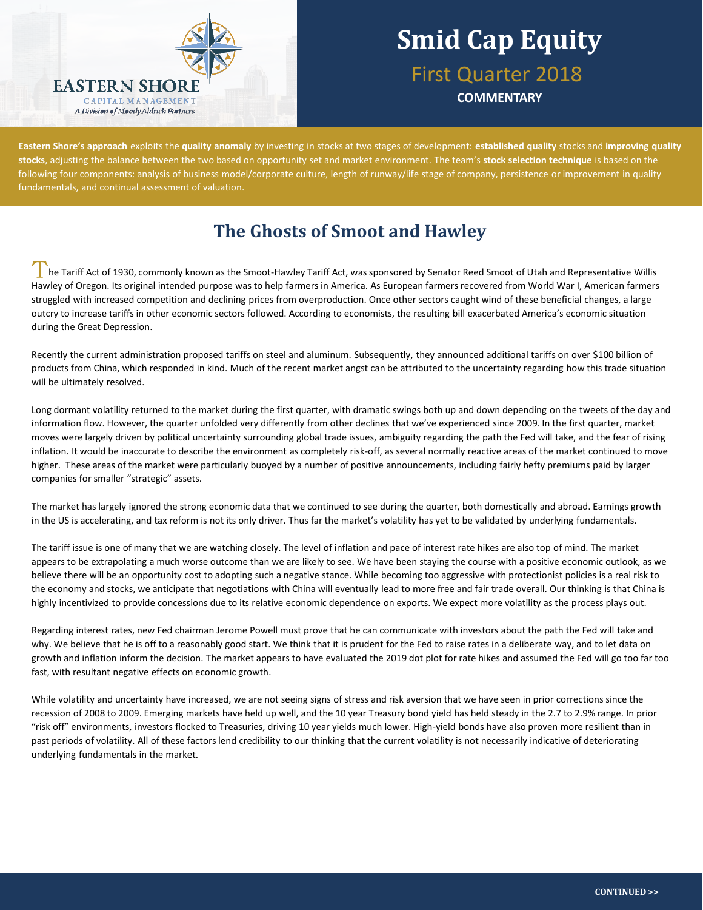

## **Smid Cap Equity** First Quarter 2018

**COMMENTARY**

**Eastern Shore's approach** exploits the **quality anomaly** by investing in stocks at two stages of development: **established quality** stocks and **improving quality stocks**, adjusting the balance between the two based on opportunity set and market environment. The team's **stock selection technique** is based on the following four components: analysis of business model/corporate culture, length of runway/life stage of company, persistence or improvement in quality fundamentals, and continual assessment of valuation.

## **The Ghosts of Smoot and Hawley**

he Tariff Act of 1930, commonly known as the Smoot-Hawley Tariff Act, was sponsored by Senator Reed Smoot of Utah and Representative Willis Hawley of Oregon. Its original intended purpose was to help farmers in America. As European farmers recovered from World War I, American farmers struggled with increased competition and declining prices from overproduction. Once other sectors caught wind of these beneficial changes, a large outcry to increase tariffs in other economic sectors followed. According to economists, the resulting bill exacerbated America's economic situation during the Great Depression.

Recently the current administration proposed tariffs on steel and aluminum. Subsequently, they announced additional tariffs on over \$100 billion of products from China, which responded in kind. Much of the recent market angst can be attributed to the uncertainty regarding how this trade situation will be ultimately resolved.

Long dormant volatility returned to the market during the first quarter, with dramatic swings both up and down depending on the tweets of the day and information flow. However, the quarter unfolded very differently from other declines that we've experienced since 2009. In the first quarter, market moves were largely driven by political uncertainty surrounding global trade issues, ambiguity regarding the path the Fed will take, and the fear of rising inflation. It would be inaccurate to describe the environment as completely risk-off, as several normally reactive areas of the market continued to move higher. These areas of the market were particularly buoyed by a number of positive announcements, including fairly hefty premiums paid by larger companies for smaller "strategic" assets.

The market has largely ignored the strong economic data that we continued to see during the quarter, both domestically and abroad. Earnings growth in the US is accelerating, and tax reform is not its only driver. Thus far the market's volatility has yet to be validated by underlying fundamentals.

The tariff issue is one of many that we are watching closely. The level of inflation and pace of interest rate hikes are also top of mind. The market appears to be extrapolating a much worse outcome than we are likely to see. We have been staying the course with a positive economic outlook, as we believe there will be an opportunity cost to adopting such a negative stance. While becoming too aggressive with protectionist policies is a real risk to the economy and stocks, we anticipate that negotiations with China will eventually lead to more free and fair trade overall. Our thinking is that China is highly incentivized to provide concessions due to its relative economic dependence on exports. We expect more volatility as the process plays out.

Regarding interest rates, new Fed chairman Jerome Powell must prove that he can communicate with investors about the path the Fed will take and why. We believe that he is off to a reasonably good start. We think that it is prudent for the Fed to raise rates in a deliberate way, and to let data on growth and inflation inform the decision. The market appears to have evaluated the 2019 dot plot for rate hikes and assumed the Fed will go too far too fast, with resultant negative effects on economic growth.

While volatility and uncertainty have increased, we are not seeing signs of stress and risk aversion that we have seen in prior corrections since the recession of 2008 to 2009. Emerging markets have held up well, and the 10 year Treasury bond yield has held steady in the 2.7 to 2.9% range. In prior "risk off" environments, investors flocked to Treasuries, driving 10 year yields much lower. High-yield bonds have also proven more resilient than in past periods of volatility. All of these factors lend credibility to our thinking that the current volatility is not necessarily indicative of deteriorating underlying fundamentals in the market.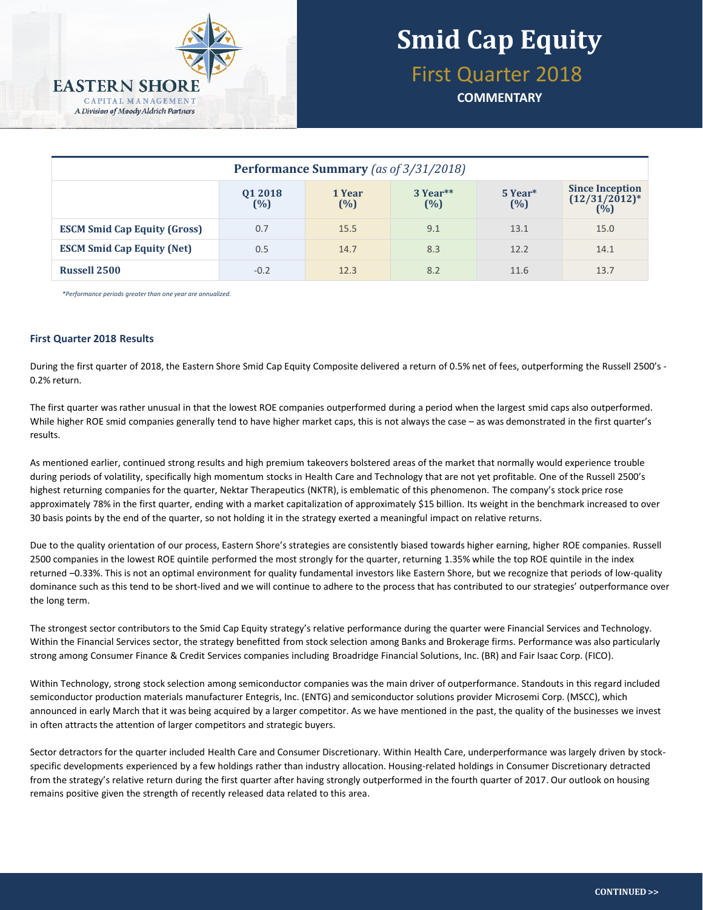

# **Smid Cap Equity**

First Quarter 2018

**COMMENTARY**

| <b>Performance Summary</b> (as of 3/31/2018) |                   |               |                 |                |                                                   |  |  |  |
|----------------------------------------------|-------------------|---------------|-----------------|----------------|---------------------------------------------------|--|--|--|
|                                              | 01 2018<br>$(\%)$ | 1 Year<br>(%) | 3 Year**<br>(%) | 5 Year*<br>(%) | <b>Since Inception</b><br>$(12/31/2012)^*$<br>(%) |  |  |  |
| <b>ESCM Smid Cap Equity (Gross)</b>          | 0.7               | 15.5          | 9.1             | 13.1           | 15.0                                              |  |  |  |
| <b>ESCM Smid Cap Equity (Net)</b>            | 0.5               | 14.7          | 8.3             | 12.2           | 14.1                                              |  |  |  |
| <b>Russell 2500</b>                          | $-0.2$            | 12.3          | 8.2             | 11.6           | 13.7                                              |  |  |  |

*\*Performance periods greater than one year are annualized.*

#### **First Quarter 2018 Results**

During the first quarter of 2018, the Eastern Shore Smid Cap Equity Composite delivered a return of 0.5% net of fees, outperforming the Russell 2500's - 0.2% return.

The first quarter was rather unusual in that the lowest ROE companies outperformed during a period when the largest smid caps also outperformed. While higher ROE smid companies generally tend to have higher market caps, this is not always the case – as was demonstrated in the first quarter's results.

As mentioned earlier, continued strong results and high premium takeovers bolstered areas of the market that normally would experience trouble during periods of volatility, specifically high momentum stocks in Health Care and Technology that are not yet profitable. One of the Russell 2500's highest returning companies for the quarter, Nektar Therapeutics (NKTR), is emblematic of this phenomenon. The company's stock price rose approximately 78% in the first quarter, ending with a market capitalization of approximately \$15 billion. Its weight in the benchmark increased to over 30 basis points by the end of the quarter, so not holding it in the strategy exerted a meaningful impact on relative returns.

Due to the quality orientation of our process, Eastern Shore's strategies are consistently biased towards higher earning, higher ROE companies. Russell 2500 companies in the lowest ROE quintile performed the most strongly for the quarter, returning 1.35% while the top ROE quintile in the index returned –0.33%. This is not an optimal environment for quality fundamental investors like Eastern Shore, but we recognize that periods of low-quality dominance such as this tend to be short-lived and we will continue to adhere to the process that has contributed to our strategies' outperformance over the long term.

The strongest sector contributors to the Smid Cap Equity strategy's relative performance during the quarter were Financial Services and Technology. Within the Financial Services sector, the strategy benefitted from stock selection among Banks and Brokerage firms. Performance was also particularly strong among Consumer Finance & Credit Services companies including Broadridge Financial Solutions, Inc. (BR) and Fair Isaac Corp. (FICO).

Within Technology, strong stock selection among semiconductor companies was the main driver of outperformance. Standouts in this regard included semiconductor production materials manufacturer Entegris, Inc. (ENTG) and semiconductor solutions provider Microsemi Corp. (MSCC), which announced in early March that it was being acquired by a larger competitor. As we have mentioned in the past, the quality of the businesses we invest in often attracts the attention of larger competitors and strategic buyers.

Sector detractors for the quarter included Health Care and Consumer Discretionary. Within Health Care, underperformance was largely driven by stockspecific developments experienced by a few holdings rather than industry allocation. Housing-related holdings in Consumer Discretionary detracted from the strategy's relative return during the first quarter after having strongly outperformed in the fourth quarter of 2017. Our outlook on housing remains positive given the strength of recently released data related to this area.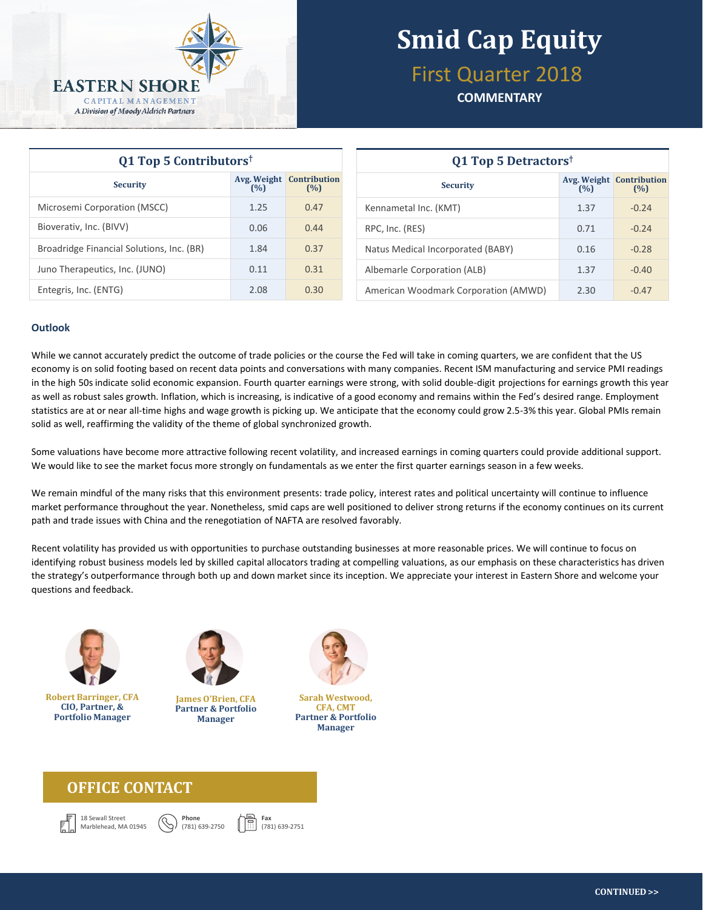

# **Smid Cap Equity**

## First Quarter 2018

#### **COMMENTARY**

| Q1 Top 5 Contributors <sup>†</sup>        |      |                                        | Q1 Top 5 Detractors <sup>†</sup>     |      |                                        |  |
|-------------------------------------------|------|----------------------------------------|--------------------------------------|------|----------------------------------------|--|
| <b>Security</b>                           | (%)  | <b>Avg. Weight Contribution</b><br>(%) | <b>Security</b>                      | (%)  | <b>Avg. Weight Contribution</b><br>(%) |  |
| Microsemi Corporation (MSCC)              | 1.25 | 0.47                                   | Kennametal Inc. (KMT)                | 1.37 | $-0.24$                                |  |
| Bioverativ, Inc. (BIVV)                   | 0.06 | 0.44                                   | RPC, Inc. (RES)                      | 0.71 | $-0.24$                                |  |
| Broadridge Financial Solutions, Inc. (BR) | 1.84 | 0.37                                   | Natus Medical Incorporated (BABY)    | 0.16 | $-0.28$                                |  |
| Juno Therapeutics, Inc. (JUNO)            | 0.11 | 0.31                                   | Albemarle Corporation (ALB)          | 1.37 | $-0.40$                                |  |
| Entegris, Inc. (ENTG)                     | 2.08 | 0.30                                   | American Woodmark Corporation (AMWD) | 2.30 | $-0.47$                                |  |

| Q1 Top 5 Detractors <sup>†</sup>     |      |                                        |  |  |  |  |
|--------------------------------------|------|----------------------------------------|--|--|--|--|
| <b>Security</b>                      | (%)  | <b>Avg. Weight Contribution</b><br>(%) |  |  |  |  |
| Kennametal Inc. (KMT)                | 1.37 | $-0.24$                                |  |  |  |  |
| RPC, Inc. (RES)                      | 0.71 | $-0.24$                                |  |  |  |  |
| Natus Medical Incorporated (BABY)    | 0.16 | $-0.28$                                |  |  |  |  |
| Albemarle Corporation (ALB)          | 1.37 | $-0.40$                                |  |  |  |  |
| American Woodmark Corporation (AMWD) | 2.30 | $-0.47$                                |  |  |  |  |

#### **Outlook**

While we cannot accurately predict the outcome of trade policies or the course the Fed will take in coming quarters, we are confident that the US economy is on solid footing based on recent data points and conversations with many companies. Recent ISM manufacturing and service PMI readings in the high 50s indicate solid economic expansion. Fourth quarter earnings were strong, with solid double-digit projections for earnings growth this year as well as robust sales growth. Inflation, which is increasing, is indicative of a good economy and remains within the Fed's desired range. Employment statistics are at or near all-time highs and wage growth is picking up. We anticipate that the economy could grow 2.5-3% this year. Global PMIs remain solid as well, reaffirming the validity of the theme of global synchronized growth.

Some valuations have become more attractive following recent volatility, and increased earnings in coming quarters could provide additional support. We would like to see the market focus more strongly on fundamentals as we enter the first quarter earnings season in a few weeks.

We remain mindful of the many risks that this environment presents: trade policy, interest rates and political uncertainty will continue to influence market performance throughout the year. Nonetheless, smid caps are well positioned to deliver strong returns if the economy continues on its current path and trade issues with China and the renegotiation of NAFTA are resolved favorably.

Recent volatility has provided us with opportunities to purchase outstanding businesses at more reasonable prices. We will continue to focus on identifying robust business models led by skilled capital allocators trading at compelling valuations, as our emphasis on these characteristics has driven the strategy's outperformance through both up and down market since its inception. We appreciate your interest in Eastern Shore and welcome your questions and feedback.



**Robert Barringer, CFA CIO, Partner, & Portfolio Manager**



**James O'Brien, CFA Partner & Portfolio Manager**

**Phone** (781) 639-2750



**Sarah Westwood, CFA, CMT Partner & Portfolio Manager**

### **OFFICE CONTACT**





**Fax** (781) 639-2751